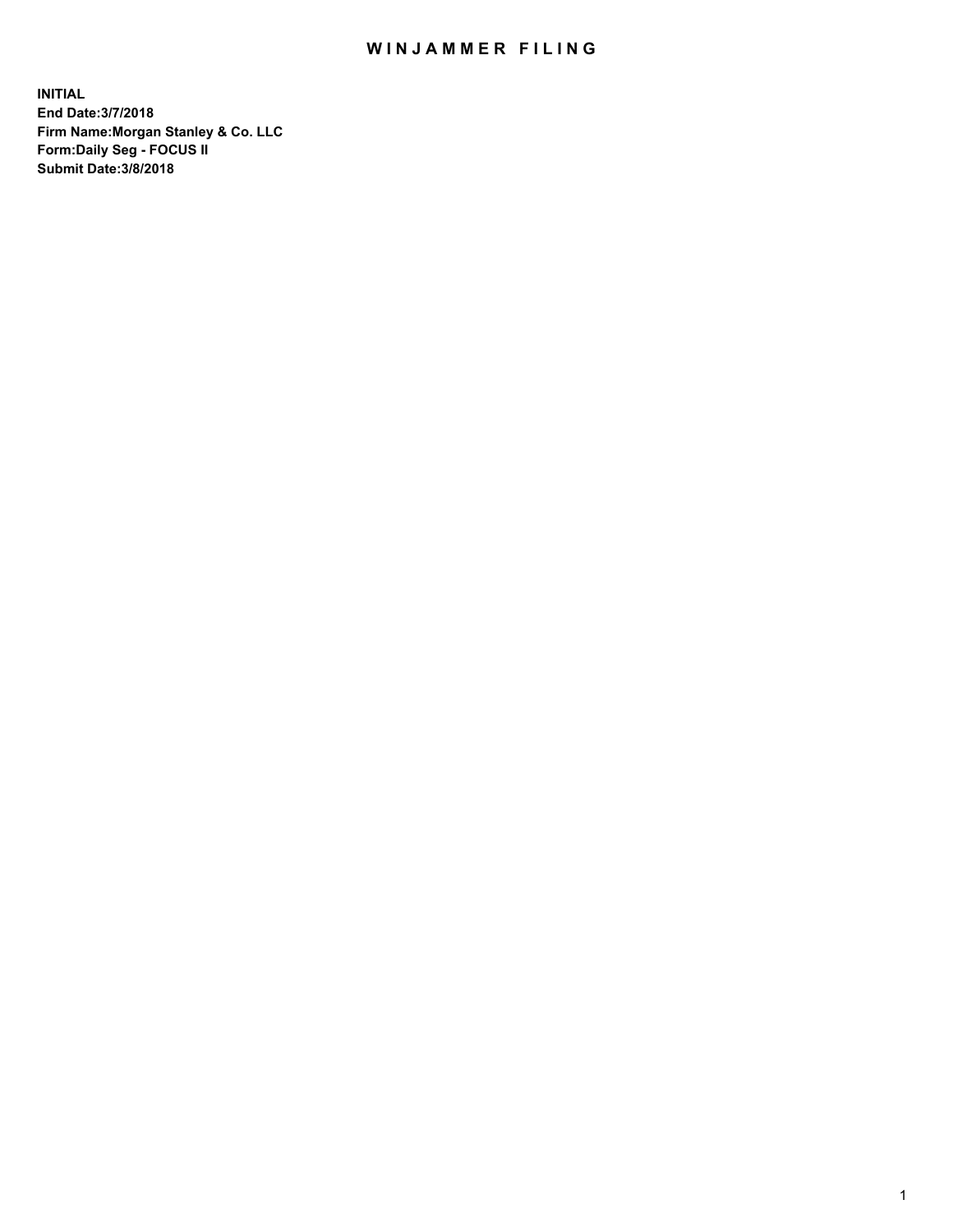## WIN JAMMER FILING

**INITIAL End Date:3/7/2018 Firm Name:Morgan Stanley & Co. LLC Form:Daily Seg - FOCUS II Submit Date:3/8/2018**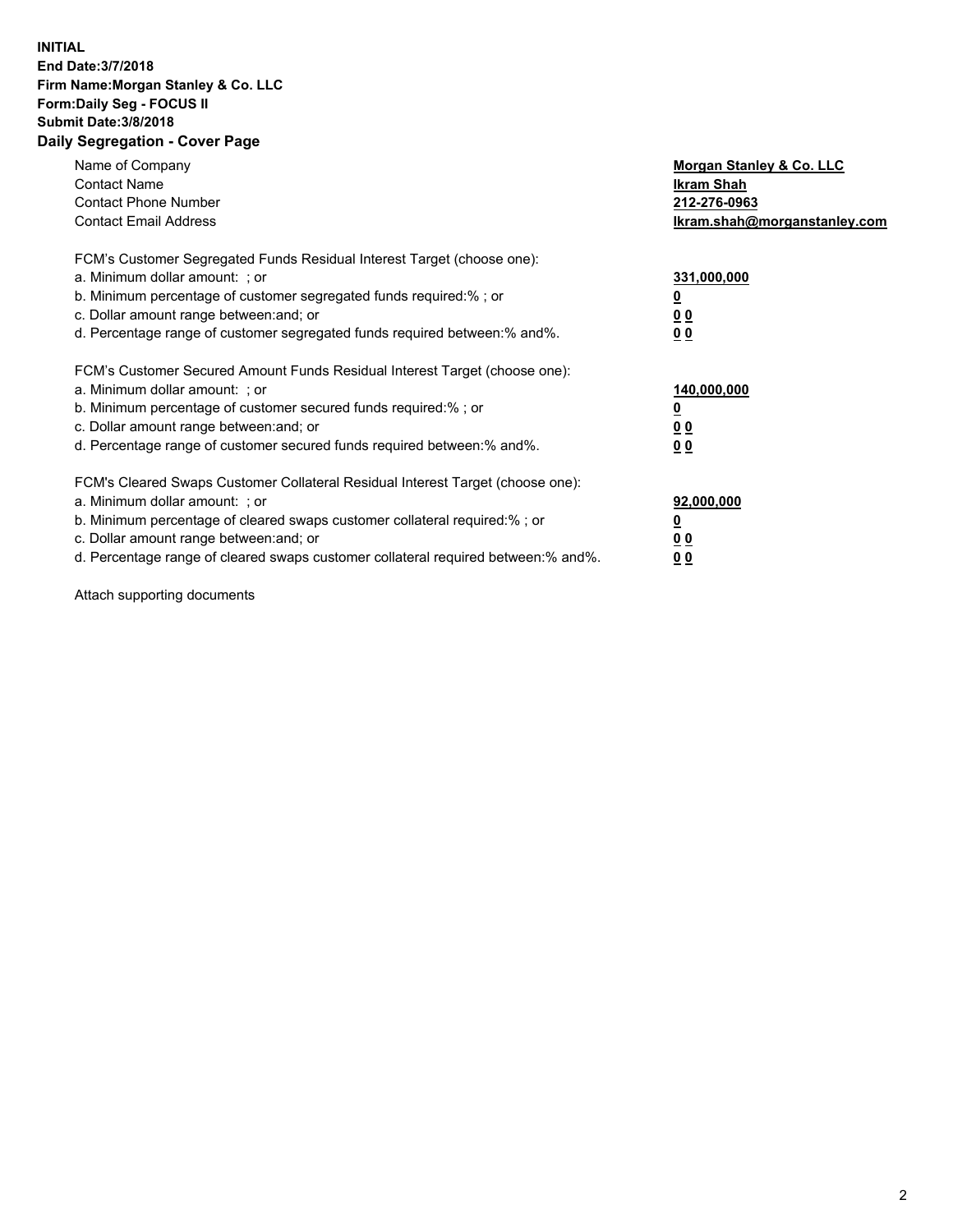## **INITIAL End Date:3/7/2018 Firm Name:Morgan Stanley & Co. LLC Form:Daily Seg - FOCUS II Submit Date:3/8/2018 Daily Segregation - Cover Page**

| Name of Company<br><b>Contact Name</b><br><b>Contact Phone Number</b><br><b>Contact Email Address</b>                                                                                                                                                                                                                         | Morgan Stanley & Co. LLC<br>Ikram Shah<br>212-276-0963<br>lkram.shah@morganstanley.com |
|-------------------------------------------------------------------------------------------------------------------------------------------------------------------------------------------------------------------------------------------------------------------------------------------------------------------------------|----------------------------------------------------------------------------------------|
| FCM's Customer Segregated Funds Residual Interest Target (choose one):<br>a. Minimum dollar amount: ; or<br>b. Minimum percentage of customer segregated funds required:%; or<br>c. Dollar amount range between: and; or<br>d. Percentage range of customer segregated funds required between:% and%.                         | 331,000,000<br>0 <sub>0</sub><br>00                                                    |
| FCM's Customer Secured Amount Funds Residual Interest Target (choose one):<br>a. Minimum dollar amount: ; or<br>b. Minimum percentage of customer secured funds required:%; or<br>c. Dollar amount range between: and; or<br>d. Percentage range of customer secured funds required between: % and %.                         | 140,000,000<br>0 <sub>0</sub><br>0 <sub>0</sub>                                        |
| FCM's Cleared Swaps Customer Collateral Residual Interest Target (choose one):<br>a. Minimum dollar amount: ; or<br>b. Minimum percentage of cleared swaps customer collateral required:%; or<br>c. Dollar amount range between: and; or<br>d. Percentage range of cleared swaps customer collateral required between:% and%. | 92,000,000<br>0 <sub>0</sub><br>0 <sub>0</sub>                                         |

Attach supporting documents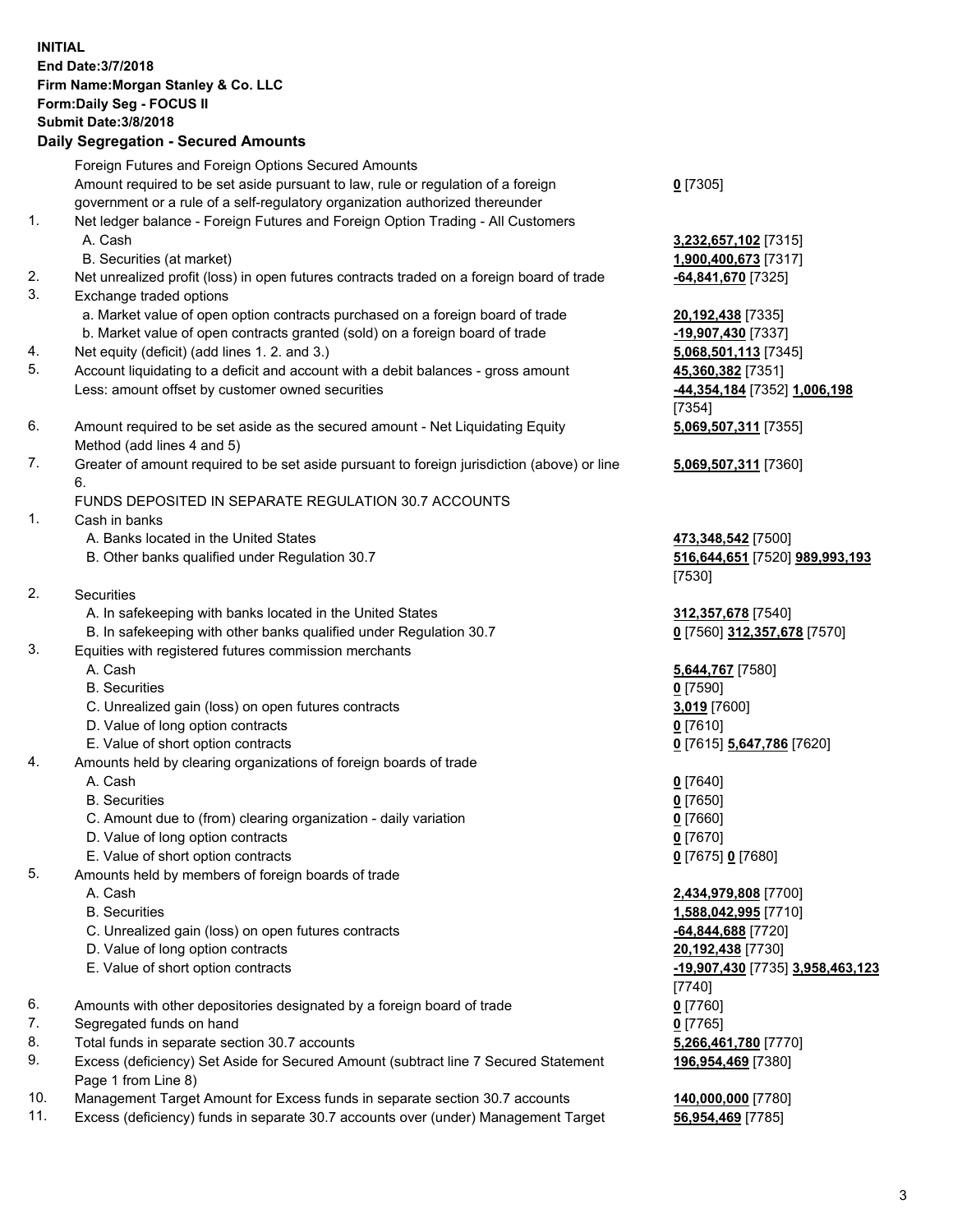## **INITIAL End Date:3/7/2018 Firm Name:Morgan Stanley & Co. LLC Form:Daily Seg - FOCUS II Submit Date:3/8/2018 Daily Segregation - Secured Amounts** Foreign Futures and Foreign Options Secured Amounts Amount required to be set aside pursuant to law, rule or regulation of a foreign government or a rule of a self-regulatory organization authorized thereunder 1. Net ledger balance - Foreign Futures and Foreign Option Trading - All Customers A. Cash **3,232,657,102** [7315] B. Securities (at market) **1,900,400,673** [7317] 2. Net unrealized profit (loss) in open futures contracts traded on a foreign board of trade **-64,841,670** [7325] 3. Exchange traded options a. Market value of open option contracts purchased on a foreign board of trade **20,192,438** [7335] b. Market value of open contracts granted (sold) on a foreign board of trade **-19,907,430** [7337] 4. Net equity (deficit) (add lines 1. 2. and 3.) **5,068,501,113** [7345] 5. Account liquidating to a deficit and account with a debit balances - gross amount **45,360,382** [7351] Less: amount offset by customer owned securities **-44,354,184** [7352] **1,006,198** 6. Amount required to be set aside as the secured amount - Net Liquidating Equity Method (add lines 4 and 5) 7. Greater of amount required to be set aside pursuant to foreign jurisdiction (above) or line 6. FUNDS DEPOSITED IN SEPARATE REGULATION 30.7 ACCOUNTS 1. Cash in banks A. Banks located in the United States **473,348,542** [7500] B. Other banks qualified under Regulation 30.7 **516,644,651** [7520] **989,993,193** 2. Securities A. In safekeeping with banks located in the United States **312,357,678** [7540] B. In safekeeping with other banks qualified under Regulation 30.7 **0** [7560] **312,357,678** [7570] 3. Equities with registered futures commission merchants A. Cash **5,644,767** [7580] B. Securities **0** [7590] C. Unrealized gain (loss) on open futures contracts **3,019** [7600] D. Value of long option contracts **0** [7610] E. Value of short option contracts **0** [7615] **5,647,786** [7620] 4. Amounts held by clearing organizations of foreign boards of trade A. Cash **0** [7640] B. Securities **0** [7650] C. Amount due to (from) clearing organization - daily variation **0** [7660] D. Value of long option contracts **0** [7670] E. Value of short option contracts **0** [7675] **0** [7680] 5. Amounts held by members of foreign boards of trade A. Cash **2,434,979,808** [7700]

- 
- C. Unrealized gain (loss) on open futures contracts **-64,844,688** [7720]
- D. Value of long option contracts **20,192,438** [7730]
- E. Value of short option contracts **-19,907,430** [7735] **3,958,463,123**
- 6. Amounts with other depositories designated by a foreign board of trade **0** [7760]
- 7. Segregated funds on hand **0** [7765]
- 8. Total funds in separate section 30.7 accounts **5,266,461,780** [7770]
- 9. Excess (deficiency) Set Aside for Secured Amount (subtract line 7 Secured Statement Page 1 from Line 8)
- 10. Management Target Amount for Excess funds in separate section 30.7 accounts **140,000,000** [7780]
- 11. Excess (deficiency) funds in separate 30.7 accounts over (under) Management Target **56,954,469** [7785]

[7354] **5,069,507,311** [7355] **5,069,507,311** [7360] [7530]

**0** [7305]

 B. Securities **1,588,042,995** [7710] [7740] **196,954,469** [7380]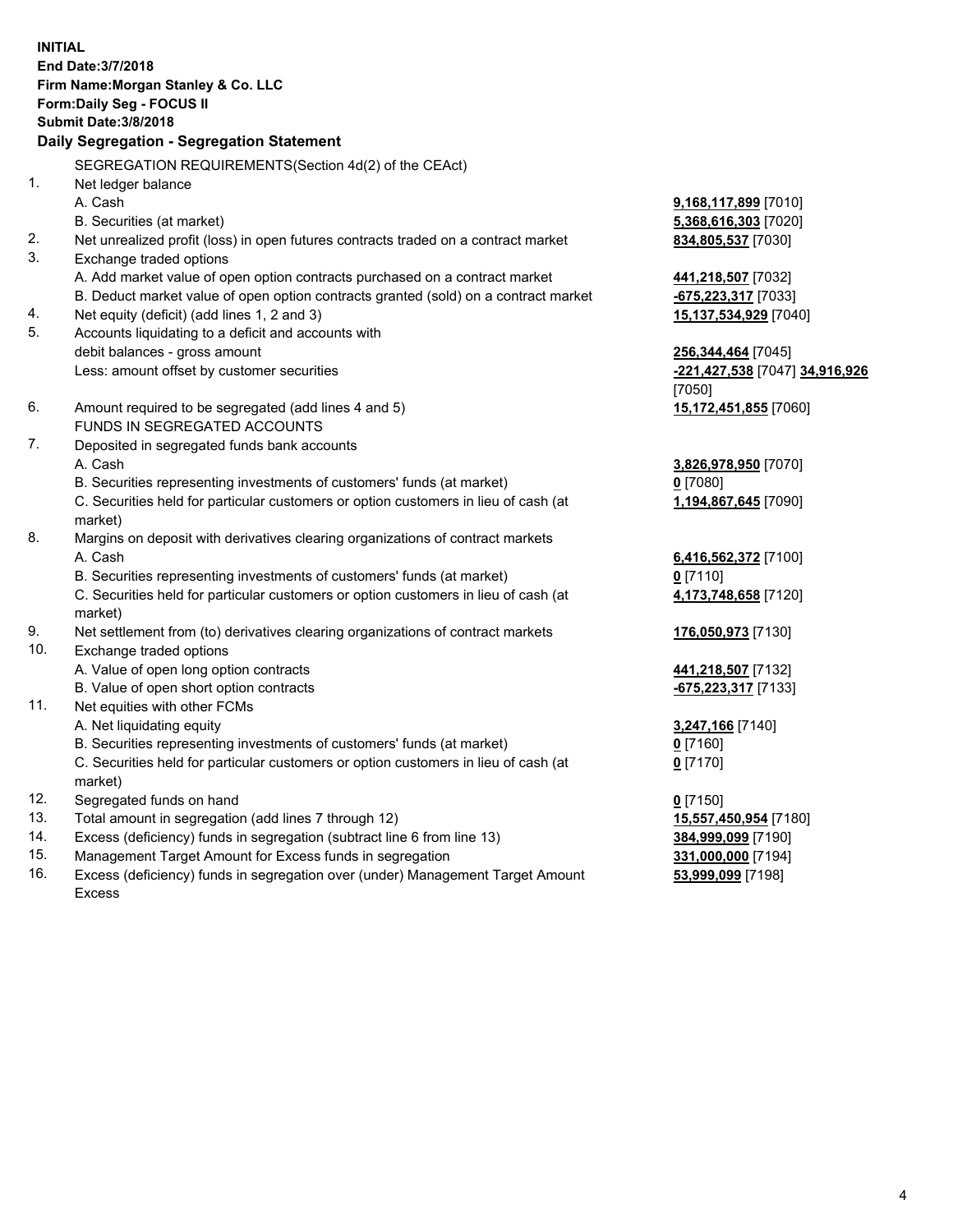**INITIAL End Date:3/7/2018 Firm Name:Morgan Stanley & Co. LLC Form:Daily Seg - FOCUS II Submit Date:3/8/2018 Daily Segregation - Segregation Statement** SEGREGATION REQUIREMENTS(Section 4d(2) of the CEAct) 1. Net ledger balance A. Cash **9,168,117,899** [7010] B. Securities (at market) **5,368,616,303** [7020] 2. Net unrealized profit (loss) in open futures contracts traded on a contract market **834,805,537** [7030] 3. Exchange traded options A. Add market value of open option contracts purchased on a contract market **441,218,507** [7032] B. Deduct market value of open option contracts granted (sold) on a contract market **-675,223,317** [7033] 4. Net equity (deficit) (add lines 1, 2 and 3) **15,137,534,929** [7040] 5. Accounts liquidating to a deficit and accounts with debit balances - gross amount **256,344,464** [7045] Less: amount offset by customer securities **-221,427,538** [7047] **34,916,926** [7050] 6. Amount required to be segregated (add lines 4 and 5) **15,172,451,855** [7060] FUNDS IN SEGREGATED ACCOUNTS 7. Deposited in segregated funds bank accounts A. Cash **3,826,978,950** [7070] B. Securities representing investments of customers' funds (at market) **0** [7080] C. Securities held for particular customers or option customers in lieu of cash (at market) **1,194,867,645** [7090] 8. Margins on deposit with derivatives clearing organizations of contract markets A. Cash **6,416,562,372** [7100] B. Securities representing investments of customers' funds (at market) **0** [7110] C. Securities held for particular customers or option customers in lieu of cash (at market) **4,173,748,658** [7120] 9. Net settlement from (to) derivatives clearing organizations of contract markets **176,050,973** [7130] 10. Exchange traded options A. Value of open long option contracts **441,218,507** [7132] B. Value of open short option contracts **-675,223,317** [7133] 11. Net equities with other FCMs A. Net liquidating equity **3,247,166** [7140] B. Securities representing investments of customers' funds (at market) **0** [7160] C. Securities held for particular customers or option customers in lieu of cash (at market) **0** [7170] 12. Segregated funds on hand **0** [7150] 13. Total amount in segregation (add lines 7 through 12) **15,557,450,954** [7180] 14. Excess (deficiency) funds in segregation (subtract line 6 from line 13) **384,999,099** [7190]

- 15. Management Target Amount for Excess funds in segregation **331,000,000** [7194]
- 16. Excess (deficiency) funds in segregation over (under) Management Target Amount Excess

**53,999,099** [7198]